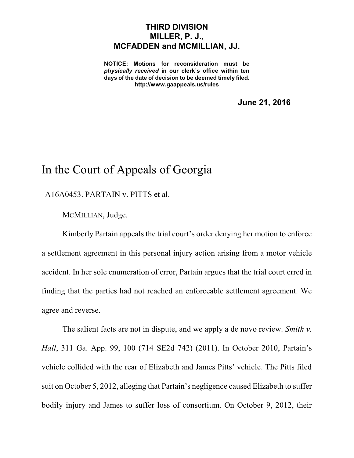## **THIRD DIVISION MILLER, P. J., MCFADDEN and MCMILLIAN, JJ.**

**NOTICE: Motions for reconsideration must be** *physically received* **in our clerk's office within ten days of the date of decision to be deemed timely filed. http://www.gaappeals.us/rules**

**June 21, 2016**

## In the Court of Appeals of Georgia

## A16A0453. PARTAIN v. PITTS et al.

MCMILLIAN, Judge.

Kimberly Partain appeals the trial court's order denying her motion to enforce a settlement agreement in this personal injury action arising from a motor vehicle accident. In her sole enumeration of error, Partain argues that the trial court erred in finding that the parties had not reached an enforceable settlement agreement. We agree and reverse.

The salient facts are not in dispute, and we apply a de novo review. *Smith v. Hall*, 311 Ga. App. 99, 100 (714 SE2d 742) (2011). In October 2010, Partain's vehicle collided with the rear of Elizabeth and James Pitts' vehicle. The Pitts filed suit on October 5, 2012, alleging that Partain's negligence caused Elizabeth to suffer bodily injury and James to suffer loss of consortium. On October 9, 2012, their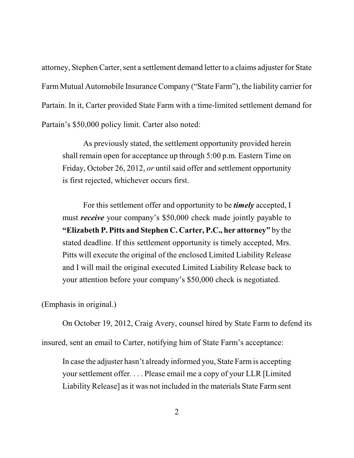attorney, Stephen Carter, sent a settlement demand letter to a claims adjuster for State Farm Mutual Automobile Insurance Company ("State Farm"), the liability carrier for Partain. In it, Carter provided State Farm with a time-limited settlement demand for Partain's \$50,000 policy limit. Carter also noted:

As previously stated, the settlement opportunity provided herein shall remain open for acceptance up through 5:00 p.m. Eastern Time on Friday, October 26, 2012, *or* until said offer and settlement opportunity is first rejected, whichever occurs first.

For this settlement offer and opportunity to be *timely* accepted, I must *receive* your company's \$50,000 check made jointly payable to **"Elizabeth P. Pitts and Stephen C. Carter, P.C., her attorney"** by the stated deadline. If this settlement opportunity is timely accepted, Mrs. Pitts will execute the original of the enclosed Limited Liability Release and I will mail the original executed Limited Liability Release back to your attention before your company's \$50,000 check is negotiated.

(Emphasis in original.)

On October 19, 2012, Craig Avery, counsel hired by State Farm to defend its insured, sent an email to Carter, notifying him of State Farm's acceptance:

In case the adjuster hasn't already informed you, State Farmis accepting your settlement offer. . . . Please email me a copy of your LLR [Limited Liability Release] as it was not included in the materials State Farm sent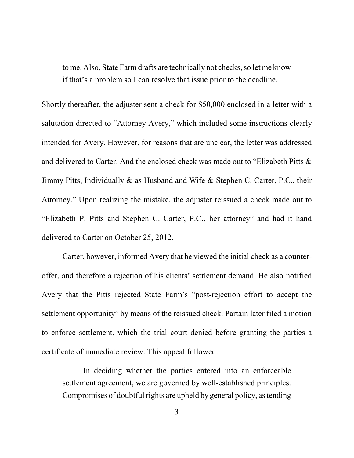to me. Also, State Farm drafts are technically not checks, so let me know if that's a problem so I can resolve that issue prior to the deadline.

Shortly thereafter, the adjuster sent a check for \$50,000 enclosed in a letter with a salutation directed to "Attorney Avery," which included some instructions clearly intended for Avery. However, for reasons that are unclear, the letter was addressed and delivered to Carter. And the enclosed check was made out to "Elizabeth Pitts & Jimmy Pitts, Individually & as Husband and Wife & Stephen C. Carter, P.C., their Attorney." Upon realizing the mistake, the adjuster reissued a check made out to "Elizabeth P. Pitts and Stephen C. Carter, P.C., her attorney" and had it hand delivered to Carter on October 25, 2012.

Carter, however, informed Avery that he viewed the initial check as a counteroffer, and therefore a rejection of his clients' settlement demand. He also notified Avery that the Pitts rejected State Farm's "post-rejection effort to accept the settlement opportunity" by means of the reissued check. Partain later filed a motion to enforce settlement, which the trial court denied before granting the parties a certificate of immediate review. This appeal followed.

In deciding whether the parties entered into an enforceable settlement agreement, we are governed by well-established principles. Compromises of doubtful rights are upheld by general policy, astending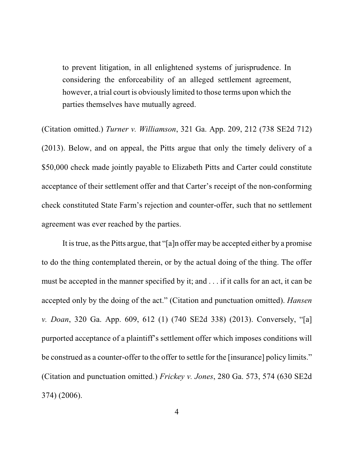to prevent litigation, in all enlightened systems of jurisprudence. In considering the enforceability of an alleged settlement agreement, however, a trial court is obviously limited to those terms upon which the parties themselves have mutually agreed.

(Citation omitted.) *Turner v. Williamson*, 321 Ga. App. 209, 212 (738 SE2d 712) (2013). Below, and on appeal, the Pitts argue that only the timely delivery of a \$50,000 check made jointly payable to Elizabeth Pitts and Carter could constitute acceptance of their settlement offer and that Carter's receipt of the non-conforming check constituted State Farm's rejection and counter-offer, such that no settlement agreement was ever reached by the parties.

It istrue, asthe Pitts argue, that "[a]n offer may be accepted either by a promise to do the thing contemplated therein, or by the actual doing of the thing. The offer must be accepted in the manner specified by it; and . . . if it calls for an act, it can be accepted only by the doing of the act." (Citation and punctuation omitted). *Hansen v. Doan*, 320 Ga. App. 609, 612 (1) (740 SE2d 338) (2013). Conversely, "[a] purported acceptance of a plaintiff's settlement offer which imposes conditions will be construed as a counter-offer to the offer to settle for the [insurance] policy limits." (Citation and punctuation omitted.) *Frickey v. Jones*, 280 Ga. 573, 574 (630 SE2d 374) (2006).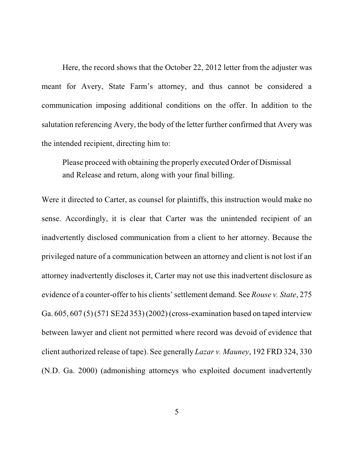Here, the record shows that the October 22, 2012 letter from the adjuster was meant for Avery, State Farm's attorney, and thus cannot be considered a communication imposing additional conditions on the offer. In addition to the salutation referencing Avery, the body of the letter further confirmed that Avery was the intended recipient, directing him to:

Please proceed with obtaining the properly executed Order of Dismissal and Release and return, along with your final billing.

Were it directed to Carter, as counsel for plaintiffs, this instruction would make no sense. Accordingly, it is clear that Carter was the unintended recipient of an inadvertently disclosed communication from a client to her attorney. Because the privileged nature of a communication between an attorney and client is not lost if an attorney inadvertently discloses it, Carter may not use this inadvertent disclosure as evidence of a counter-offer to his clients'settlement demand. See *Rouse v. State*, 275 Ga. 605, 607 (5) (571 SE2d 353) (2002) (cross-examination based on taped interview between lawyer and client not permitted where record was devoid of evidence that client authorized release of tape). See generally *Lazar v. Mauney*, 192 FRD 324, 330 (N.D. Ga. 2000) (admonishing attorneys who exploited document inadvertently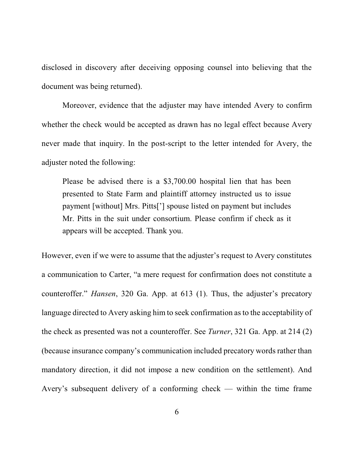disclosed in discovery after deceiving opposing counsel into believing that the document was being returned).

Moreover, evidence that the adjuster may have intended Avery to confirm whether the check would be accepted as drawn has no legal effect because Avery never made that inquiry. In the post-script to the letter intended for Avery, the adjuster noted the following:

Please be advised there is a \$3,700.00 hospital lien that has been presented to State Farm and plaintiff attorney instructed us to issue payment [without] Mrs. Pitts['] spouse listed on payment but includes Mr. Pitts in the suit under consortium. Please confirm if check as it appears will be accepted. Thank you.

However, even if we were to assume that the adjuster's request to Avery constitutes a communication to Carter, "a mere request for confirmation does not constitute a counteroffer." *Hansen*, 320 Ga. App. at 613 (1). Thus, the adjuster's precatory language directed to Avery asking him to seek confirmation as to the acceptability of the check as presented was not a counteroffer. See *Turner*, 321 Ga. App. at 214 (2) (because insurance company's communication included precatory words rather than mandatory direction, it did not impose a new condition on the settlement). And Avery's subsequent delivery of a conforming check — within the time frame